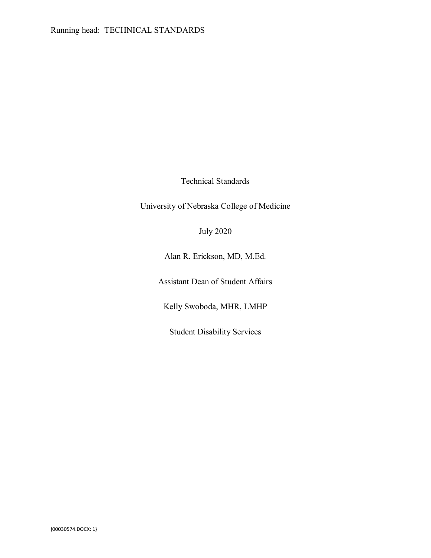Technical Standards

University of Nebraska College of Medicine

July 2020

Alan R. Erickson, MD, M.Ed.

Assistant Dean of Student Affairs

Kelly Swoboda, MHR, LMHP

Student Disability Services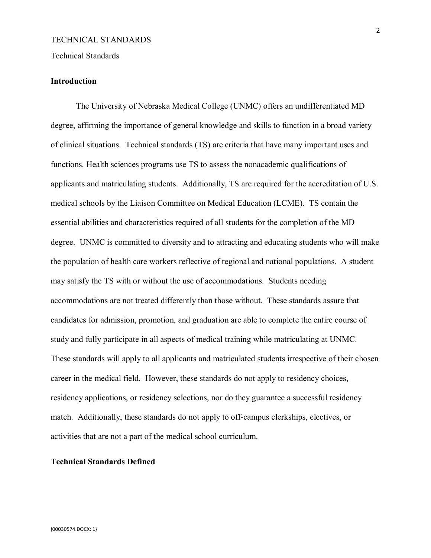#### Technical Standards

## **Introduction**

The University of Nebraska Medical College (UNMC) offers an undifferentiated MD degree, affirming the importance of general knowledge and skills to function in a broad variety of clinical situations. Technical standards (TS) are criteria that have many important uses and functions. Health sciences programs use TS to assess the nonacademic qualifications of applicants and matriculating students. Additionally, TS are required for the accreditation of U.S. medical schools by the Liaison Committee on Medical Education (LCME). TS contain the essential abilities and characteristics required of all students for the completion of the MD degree. UNMC is committed to diversity and to attracting and educating students who will make the population of health care workers reflective of regional and national populations. A student may satisfy the TS with or without the use of accommodations. Students needing accommodations are not treated differently than those without. These standards assure that candidates for admission, promotion, and graduation are able to complete the entire course of study and fully participate in all aspects of medical training while matriculating at UNMC. These standards will apply to all applicants and matriculated students irrespective of their chosen career in the medical field. However, these standards do not apply to residency choices, residency applications, or residency selections, nor do they guarantee a successful residency match. Additionally, these standards do not apply to off-campus clerkships, electives, or activities that are not a part of the medical school curriculum.

## **Technical Standards Defined**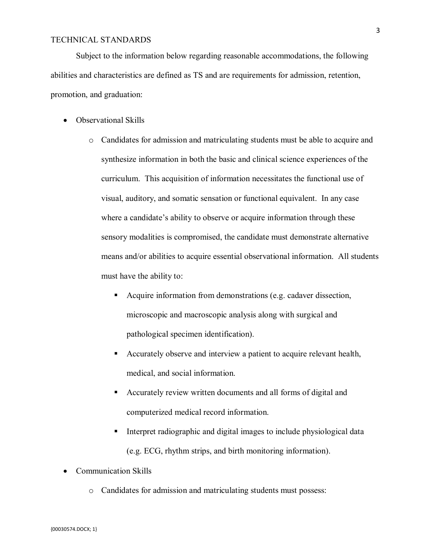Subject to the information below regarding reasonable accommodations, the following abilities and characteristics are defined as TS and are requirements for admission, retention, promotion, and graduation:

- Observational Skills
	- o Candidates for admission and matriculating students must be able to acquire and synthesize information in both the basic and clinical science experiences of the curriculum. This acquisition of information necessitates the functional use of visual, auditory, and somatic sensation or functional equivalent. In any case where a candidate's ability to observe or acquire information through these sensory modalities is compromised, the candidate must demonstrate alternative means and/or abilities to acquire essential observational information. All students must have the ability to:
		- Acquire information from demonstrations (e.g. cadaver dissection, microscopic and macroscopic analysis along with surgical and pathological specimen identification).
		- Accurately observe and interview a patient to acquire relevant health, medical, and social information.
		- Accurately review written documents and all forms of digital and computerized medical record information.
		- Interpret radiographic and digital images to include physiological data (e.g. ECG, rhythm strips, and birth monitoring information).
- Communication Skills
	- o Candidates for admission and matriculating students must possess: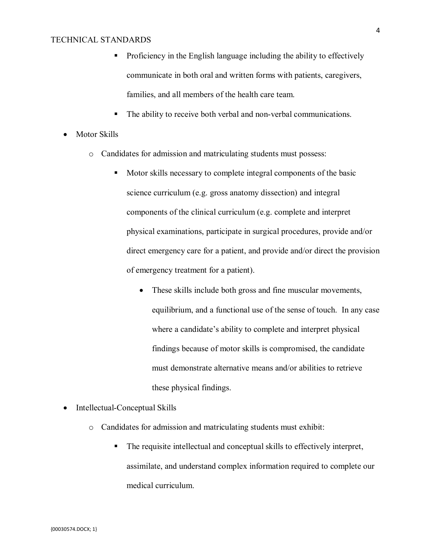- **•** Proficiency in the English language including the ability to effectively communicate in both oral and written forms with patients, caregivers, families, and all members of the health care team.
- The ability to receive both verbal and non-verbal communications.
- Motor Skills
	- o Candidates for admission and matriculating students must possess:
		- Motor skills necessary to complete integral components of the basic science curriculum (e.g. gross anatomy dissection) and integral components of the clinical curriculum (e.g. complete and interpret physical examinations, participate in surgical procedures, provide and/or direct emergency care for a patient, and provide and/or direct the provision of emergency treatment for a patient).
			- These skills include both gross and fine muscular movements, equilibrium, and a functional use of the sense of touch. In any case where a candidate's ability to complete and interpret physical findings because of motor skills is compromised, the candidate must demonstrate alternative means and/or abilities to retrieve these physical findings.
- Intellectual-Conceptual Skills
	- o Candidates for admission and matriculating students must exhibit:
		- The requisite intellectual and conceptual skills to effectively interpret, assimilate, and understand complex information required to complete our medical curriculum.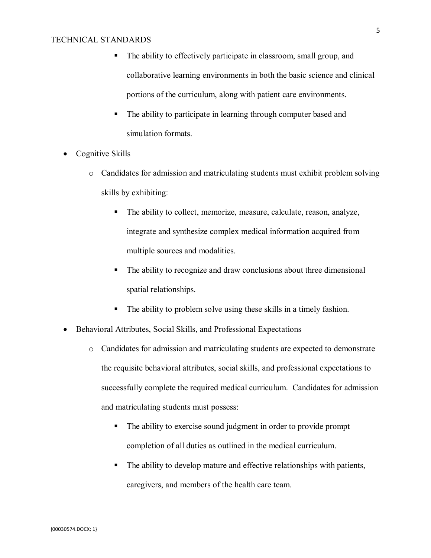- The ability to effectively participate in classroom, small group, and collaborative learning environments in both the basic science and clinical portions of the curriculum, along with patient care environments.
- The ability to participate in learning through computer based and simulation formats.
- Cognitive Skills
	- o Candidates for admission and matriculating students must exhibit problem solving skills by exhibiting:
		- The ability to collect, memorize, measure, calculate, reason, analyze, integrate and synthesize complex medical information acquired from multiple sources and modalities.
		- The ability to recognize and draw conclusions about three dimensional spatial relationships.
		- The ability to problem solve using these skills in a timely fashion.
- Behavioral Attributes, Social Skills, and Professional Expectations
	- o Candidates for admission and matriculating students are expected to demonstrate the requisite behavioral attributes, social skills, and professional expectations to successfully complete the required medical curriculum. Candidates for admission and matriculating students must possess:
		- The ability to exercise sound judgment in order to provide prompt completion of all duties as outlined in the medical curriculum.
		- The ability to develop mature and effective relationships with patients, caregivers, and members of the health care team.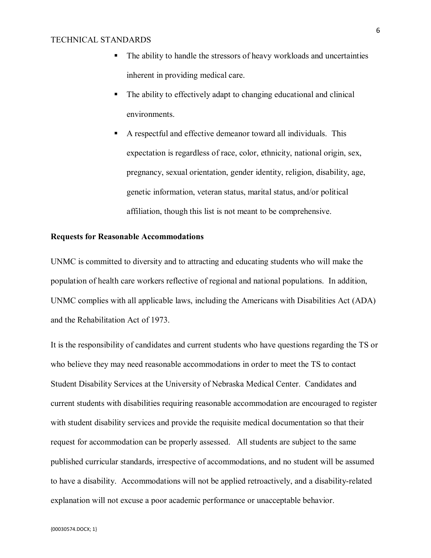- The ability to handle the stressors of heavy workloads and uncertainties inherent in providing medical care.
- The ability to effectively adapt to changing educational and clinical environments.
- A respectful and effective demeanor toward all individuals. This expectation is regardless of race, color, ethnicity, national origin, sex, pregnancy, sexual orientation, gender identity, religion, disability, age, genetic information, veteran status, marital status, and/or political affiliation, though this list is not meant to be comprehensive.

## **Requests for Reasonable Accommodations**

UNMC is committed to diversity and to attracting and educating students who will make the population of health care workers reflective of regional and national populations. In addition, UNMC complies with all applicable laws, including the Americans with Disabilities Act (ADA) and the Rehabilitation Act of 1973.

It is the responsibility of candidates and current students who have questions regarding the TS or who believe they may need reasonable accommodations in order to meet the TS to contact Student Disability Services at the University of Nebraska Medical Center. Candidates and current students with disabilities requiring reasonable accommodation are encouraged to register with student disability services and provide the requisite medical documentation so that their request for accommodation can be properly assessed. All students are subject to the same published curricular standards, irrespective of accommodations, and no student will be assumed to have a disability. Accommodations will not be applied retroactively, and a disability-related explanation will not excuse a poor academic performance or unacceptable behavior.